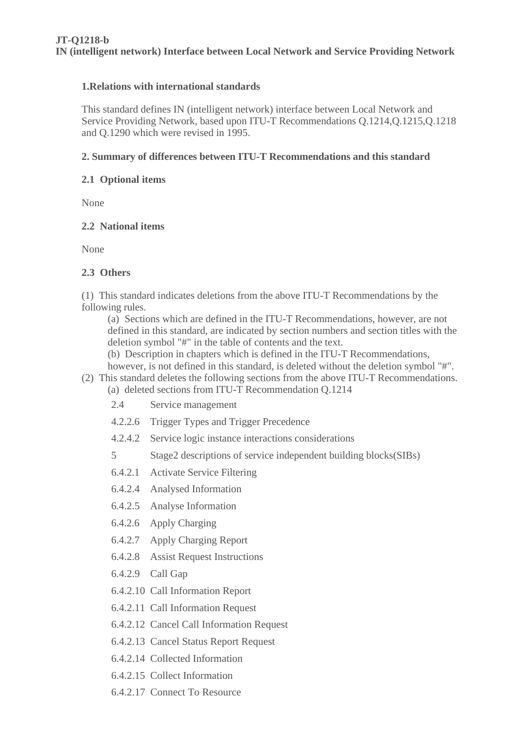#### **1.Relations with international standards**

This standard defines IN (intelligent network) interface between Local Network and Service Providing Network, based upon ITU-T Recommendations Q.1214,Q.1215,Q.1218 and Q.1290 which were revised in 1995.

#### **2. Summary of differences between ITU-T Recommendations and this standard**

#### **2.1 Optional items**

None

#### **2.2 National items**

None

#### **2.3 Others**

(1) This standard indicates deletions from the above ITU-T Recommendations by the following rules.

(a) Sections which are defined in the ITU-T Recommendations, however, are not defined in this standard, are indicated by section numbers and section titles with the deletion symbol "#" in the table of contents and the text.

(b) Description in chapters which is defined in the ITU-T Recommendations,

however, is not defined in this standard, is deleted without the deletion symbol "#".

# (2) This standard deletes the following sections from the above ITU-T Recommendations.

- (a) deleted sections from ITU-T Recommendation Q.1214
	- 2.4 Service management
	- 4.2.2.6 Trigger Types and Trigger Precedence
	- 4.2.4.2 Service logic instance interactions considerations
	- 5 Stage2 descriptions of service independent building blocks(SIBs)
	- 6.4.2.1 Activate Service Filtering
	- 6.4.2.4 Analysed Information
	- 6.4.2.5 Analyse Information
	- 6.4.2.6 Apply Charging
	- 6.4.2.7 Apply Charging Report
	- 6.4.2.8 Assist Request Instructions
	- 6.4.2.9 Call Gap
	- 6.4.2.10 Call Information Report
	- 6.4.2.11 Call Information Request
	- 6.4.2.12 Cancel Call Information Request
	- 6.4.2.13 Cancel Status Report Request
	- 6.4.2.14 Collected Information
	- 6.4.2.15 Collect Information
	- 6.4.2.17 Connect To Resource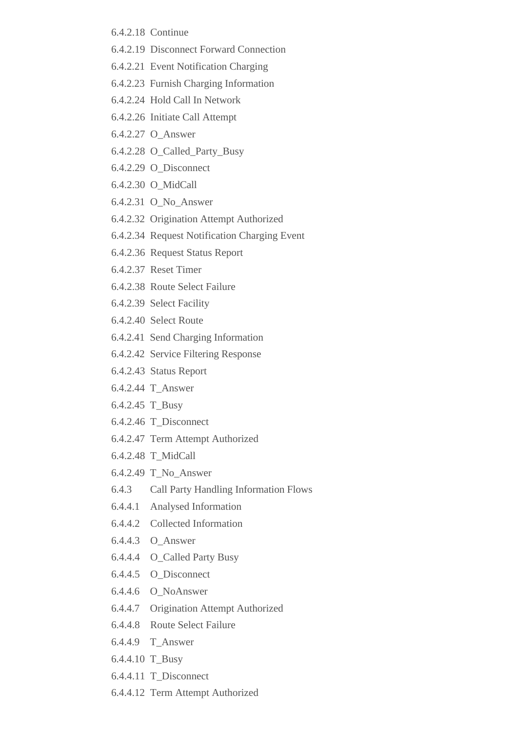- 6.4.2.18 Continue
- 6.4.2.19 Disconnect Forward Connection
- 6.4.2.21 Event Notification Charging
- 6.4.2.23 Furnish Charging Information
- 6.4.2.24 Hold Call In Network
- 6.4.2.26 Initiate Call Attempt
- 6.4.2.27 O\_Answer
- 6.4.2.28 O\_Called\_Party\_Busy
- 6.4.2.29 O\_Disconnect
- 6.4.2.30 O\_MidCall
- 6.4.2.31 O\_No\_Answer
- 6.4.2.32 Origination Attempt Authorized
- 6.4.2.34 Request Notification Charging Event
- 6.4.2.36 Request Status Report
- 6.4.2.37 Reset Timer
- 6.4.2.38 Route Select Failure
- 6.4.2.39 Select Facility
- 6.4.2.40 Select Route
- 6.4.2.41 Send Charging Information
- 6.4.2.42 Service Filtering Response
- 6.4.2.43 Status Report
- 6.4.2.44 T\_Answer
- 6.4.2.45 T\_Busy
- 6.4.2.46 T\_Disconnect
- 6.4.2.47 Term Attempt Authorized
- 6.4.2.48 T\_MidCall
- 6.4.2.49 T\_No\_Answer
- 6.4.3 Call Party Handling Information Flows
- 6.4.4.1 Analysed Information
- 6.4.4.2 Collected Information
- 6.4.4.3 O\_Answer
- 6.4.4.4 O\_Called Party Busy
- 6.4.4.5 O\_Disconnect
- 6.4.4.6 O\_NoAnswer
- 6.4.4.7 Origination Attempt Authorized
- 6.4.4.8 Route Select Failure
- 6.4.4.9 T\_Answer
- 6.4.4.10 T\_Busy
- 6.4.4.11 T\_Disconnect
- 6.4.4.12 Term Attempt Authorized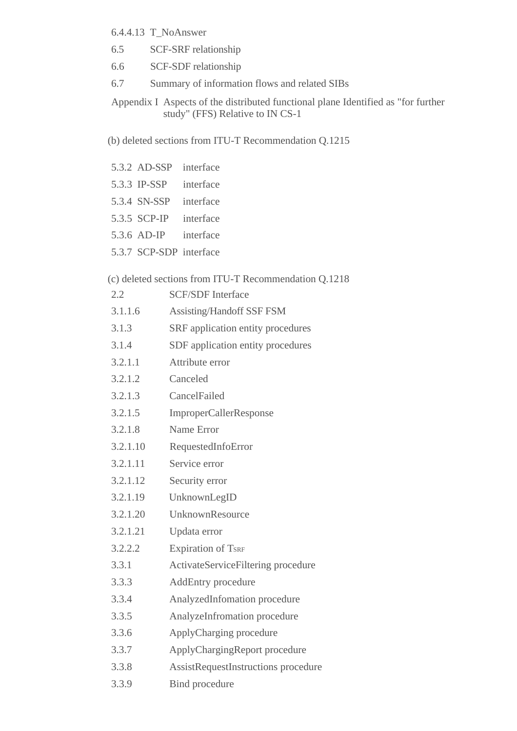- 6.4.4.13 T\_NoAnswer
- 6.5 SCF-SRF relationship
- 6.6 SCF-SDF relationship
- 6.7 Summary of information flows and related SIBs

Appendix I Aspects of the distributed functional plane Identified as "for further study" (FFS) Relative to IN CS-1

(b) deleted sections from ITU-T Recommendation Q.1215

|     | 5.3.2 AD-SSP interface  |                                                       |
|-----|-------------------------|-------------------------------------------------------|
|     | 5.3.3 IP-SSP            | interface                                             |
|     | 5.3.4 SN-SSP            | interface                                             |
|     | 5.3.5 SCP-IP            | interface                                             |
|     | 5.3.6 AD-IP interface   |                                                       |
|     | 5.3.7 SCP-SDP interface |                                                       |
|     |                         | (c) deleted sections from ITU-T Recommendation Q.1218 |
| 2.2 |                         | <b>SCF/SDF</b> Interface                              |
|     |                         | $2116$ $\Lambda$ existing Hendeff CCE ECM             |

- 3.1.1.6 Assisting/Handoff SSF FSM
- 3.1.3 SRF application entity procedures
- 3.1.4 SDF application entity procedures
- 3.2.1.1 Attribute error
- 3.2.1.2 Canceled
- 3.2.1.3 CancelFailed
- 3.2.1.5 ImproperCallerResponse
- 3.2.1.8 Name Error
- 3.2.1.10 RequestedInfoError
- 3.2.1.11 Service error
- 3.2.1.12 Security error
- 3.2.1.19 UnknownLegID
- 3.2.1.20 UnknownResource
- 3.2.1.21 Updata error
- 3.2.2.2 Expiration of TSRF
- 3.3.1 ActivateServiceFiltering procedure
- 3.3.3 AddEntry procedure
- 3.3.4 AnalyzedInfomation procedure
- 3.3.5 AnalyzeInfromation procedure
- 3.3.6 ApplyCharging procedure
- 3.3.7 ApplyChargingReport procedure
- 3.3.8 AssistRequestInstructions procedure
- 3.3.9 Bind procedure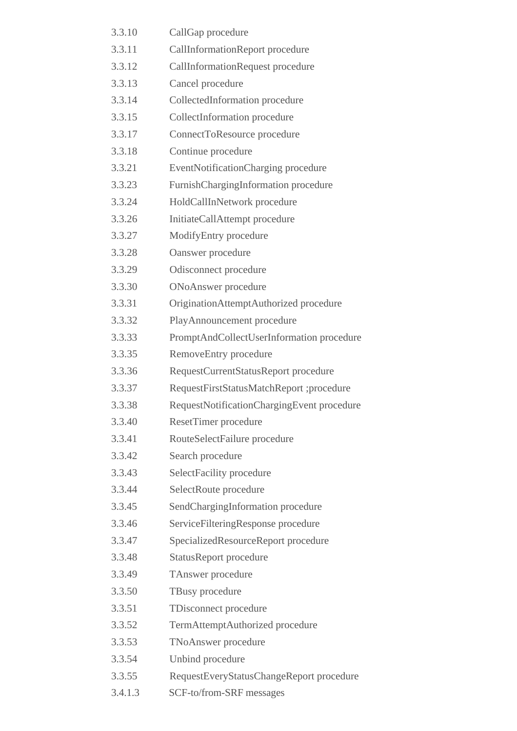| 3.3.10  | CallGap procedure                          |
|---------|--------------------------------------------|
| 3.3.11  | CallInformationReport procedure            |
| 3.3.12  | CallInformationRequest procedure           |
| 3.3.13  | Cancel procedure                           |
| 3.3.14  | CollectedInformation procedure             |
| 3.3.15  | CollectInformation procedure               |
| 3.3.17  | ConnectToResource procedure                |
| 3.3.18  | Continue procedure                         |
| 3.3.21  | EventNotificationCharging procedure        |
| 3.3.23  | FurnishChargingInformation procedure       |
| 3.3.24  | HoldCallInNetwork procedure                |
| 3.3.26  | InitiateCallAttempt procedure              |
| 3.3.27  | ModifyEntry procedure                      |
| 3.3.28  | Oanswer procedure                          |
| 3.3.29  | Odisconnect procedure                      |
| 3.3.30  | <b>ONoAnswer</b> procedure                 |
| 3.3.31  | OriginationAttemptAuthorized procedure     |
| 3.3.32  | PlayAnnouncement procedure                 |
| 3.3.33  | PromptAndCollectUserInformation procedure  |
| 3.3.35  | RemoveEntry procedure                      |
| 3.3.36  | RequestCurrentStatusReport procedure       |
| 3.3.37  | RequestFirstStatusMatchReport ;procedure   |
| 3.3.38  | RequestNotificationChargingEvent procedure |
| 3.3.40  | <b>ResetTimer</b> procedure                |
| 3.3.41  | RouteSelectFailure procedure               |
| 3.3.42  | Search procedure                           |
| 3.3.43  | SelectFacility procedure                   |
| 3.3.44  | SelectRoute procedure                      |
| 3.3.45  | SendChargingInformation procedure          |
| 3.3.46  | ServiceFilteringResponse procedure         |
| 3.3.47  | SpecializedResourceReport procedure        |
| 3.3.48  | <b>StatusReport procedure</b>              |
| 3.3.49  | <b>TAnswer</b> procedure                   |
| 3.3.50  | TBusy procedure                            |
| 3.3.51  | TDisconnect procedure                      |
| 3.3.52  | TermAttemptAuthorized procedure            |
| 3.3.53  | TNoAnswer procedure                        |
| 3.3.54  | Unbind procedure                           |
| 3.3.55  | RequestEveryStatusChangeReport procedure   |
| 3.4.1.3 | SCF-to/from-SRF messages                   |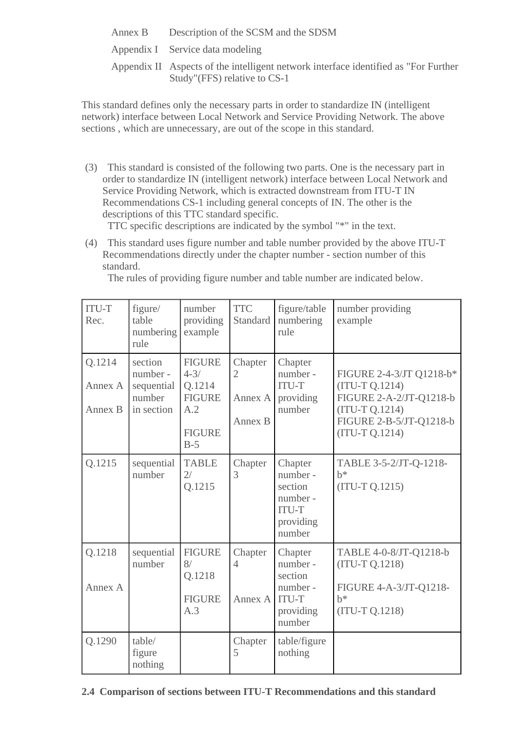| Annex B | Description of the SCSM and the SDSM |  |  |  |
|---------|--------------------------------------|--|--|--|
|         |                                      |  |  |  |

Appendix I Service data modeling

Appendix II Aspects of the intelligent network interface identified as "For Further Study"(FFS) relative to CS-1

This standard defines only the necessary parts in order to standardize IN (intelligent network) interface between Local Network and Service Providing Network. The above sections , which are unnecessary, are out of the scope in this standard.

(3) This standard is consisted of the following two parts. One is the necessary part in order to standardize IN (intelligent network) interface between Local Network and Service Providing Network, which is extracted downstream from ITU-T IN Recommendations CS-1 including general concepts of IN. The other is the descriptions of this TTC standard specific.

TTC specific descriptions are indicated by the symbol "\*" in the text.

(4) This standard uses figure number and table number provided by the above ITU-T Recommendations directly under the chapter number - section number of this standard.

The rules of providing figure number and table number are indicated below.

| <b>ITU-T</b><br>Rec.         | figure/<br>table<br>numbering<br>rule                    | number<br>providing<br>example                                                        | <b>TTC</b><br>Standard                          | figure/table<br>numbering<br>rule                                                 | number providing<br>example                                                                                                           |
|------------------------------|----------------------------------------------------------|---------------------------------------------------------------------------------------|-------------------------------------------------|-----------------------------------------------------------------------------------|---------------------------------------------------------------------------------------------------------------------------------------|
| Q.1214<br>Annex A<br>Annex B | section<br>number-<br>sequential<br>number<br>in section | <b>FIGURE</b><br>$4 - 3/$<br>Q.1214<br><b>FIGURE</b><br>A.2<br><b>FIGURE</b><br>$B-5$ | Chapter<br>$\overline{2}$<br>Annex A<br>Annex B | Chapter<br>number-<br><b>ITU-T</b><br>providing<br>number                         | FIGURE 2-4-3/JT Q1218-b*<br>(ITU-T Q.1214)<br>FIGURE 2-A-2/JT-Q1218-b<br>$(TU-T Q.1214)$<br>FIGURE 2-B-5/JT-Q1218-b<br>(ITU-T Q.1214) |
| Q.1215                       | sequential<br>number                                     | <b>TABLE</b><br>2/<br>Q.1215                                                          | Chapter<br>3                                    | Chapter<br>number -<br>section<br>number -<br><b>ITU-T</b><br>providing<br>number | TABLE 3-5-2/JT-Q-1218-<br>$b^*$<br>$(ITU-T Q.1215)$                                                                                   |
| Q.1218<br>Annex A            | sequential<br>number                                     | <b>FIGURE</b><br>8/<br>Q.1218<br><b>FIGURE</b><br>A.3                                 | Chapter<br>$\overline{4}$<br>Annex A            | Chapter<br>number -<br>section<br>number -<br><b>ITU-T</b><br>providing<br>number | TABLE 4-0-8/JT-Q1218-b<br>$(ITU-T Q.1218)$<br>FIGURE 4-A-3/JT-Q1218-<br>$h^*$<br>(ITU-T Q.1218)                                       |
| Q.1290                       | table/<br>figure<br>nothing                              |                                                                                       | Chapter<br>5                                    | table/figure<br>nothing                                                           |                                                                                                                                       |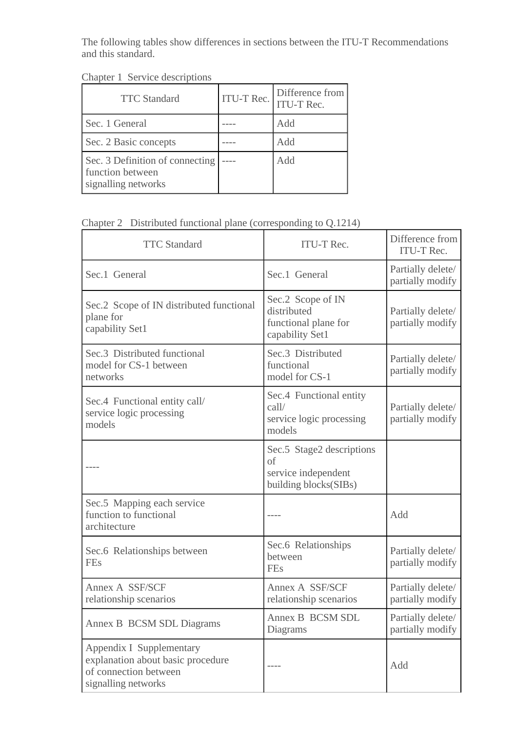The following tables show differences in sections between the ITU-T Recommendations and this standard.

| <b>TTC</b> Standard                                                        | ITU-T Rec. | Difference from<br><b>ITU-T Rec.</b> |
|----------------------------------------------------------------------------|------------|--------------------------------------|
| Sec. 1 General                                                             |            | Add                                  |
| Sec. 2 Basic concepts                                                      |            | Add                                  |
| Sec. 3 Definition of connecting<br>function between<br>signalling networks |            | Add                                  |

Chapter 2 Distributed functional plane (corresponding to Q.1214)

| <b>TTC</b> Standard                                                                                           | <b>ITU-T Rec.</b>                                                               | Difference from<br><b>ITU-T Rec.</b>  |
|---------------------------------------------------------------------------------------------------------------|---------------------------------------------------------------------------------|---------------------------------------|
| Sec.1 General                                                                                                 | Sec.1 General                                                                   | Partially delete/<br>partially modify |
| Sec.2 Scope of IN distributed functional<br>plane for<br>capability Set1                                      | Sec.2 Scope of IN<br>distributed<br>functional plane for<br>capability Set1     | Partially delete/<br>partially modify |
| Sec.3 Distributed functional<br>model for CS-1 between<br>networks                                            | Sec.3 Distributed<br>functional<br>model for CS-1                               | Partially delete/<br>partially modify |
| Sec.4 Functional entity call/<br>service logic processing<br>models                                           | Sec.4 Functional entity<br>$\text{call}/$<br>service logic processing<br>models | Partially delete/<br>partially modify |
|                                                                                                               | Sec.5 Stage2 descriptions<br>of<br>service independent<br>building blocks(SIBs) |                                       |
| Sec.5 Mapping each service<br>function to functional<br>architecture                                          |                                                                                 | Add                                   |
| Sec.6 Relationships between<br><b>FEs</b>                                                                     | Sec.6 Relationships<br>between<br><b>FEs</b>                                    | Partially delete/<br>partially modify |
| Annex A SSF/SCF<br>relationship scenarios                                                                     | Annex A SSF/SCF<br>relationship scenarios                                       | Partially delete/<br>partially modify |
| Annex B BCSM SDL Diagrams                                                                                     | Annex B BCSM SDL<br>Diagrams                                                    | Partially delete/<br>partially modify |
| Appendix I Supplementary<br>explanation about basic procedure<br>of connection between<br>signalling networks |                                                                                 | Add                                   |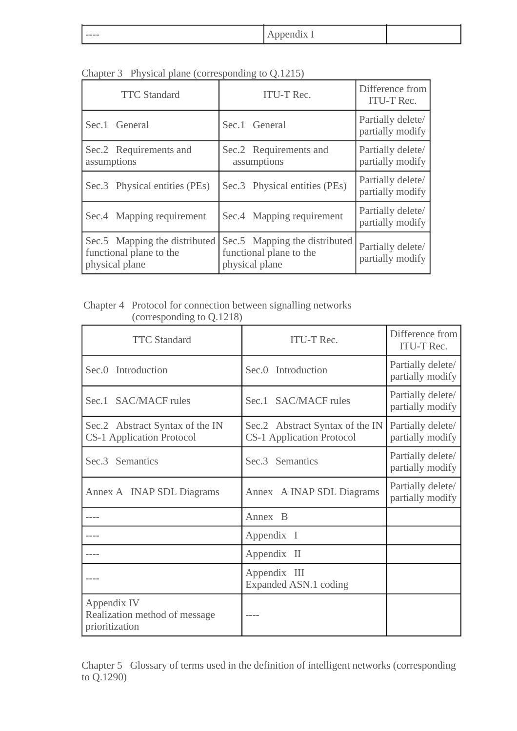| $\overline{\phantom{a}}$<br>-----<br>$\sim$<br>----<br>- |  |
|----------------------------------------------------------|--|
|----------------------------------------------------------|--|

| <b>TTC</b> Standard                                                        | <b>ITU-T Rec.</b>                                                          | Difference from<br><b>ITU-T Rec.</b>  |
|----------------------------------------------------------------------------|----------------------------------------------------------------------------|---------------------------------------|
| Sec.1 General                                                              | Sec.1 General                                                              | Partially delete/<br>partially modify |
| Sec.2 Requirements and<br>assumptions                                      | Sec.2 Requirements and<br>assumptions                                      | Partially delete/<br>partially modify |
| Sec.3 Physical entities (PEs)                                              | Sec.3 Physical entities (PEs)                                              | Partially delete/<br>partially modify |
| Sec.4 Mapping requirement                                                  | Sec.4 Mapping requirement                                                  | Partially delete/<br>partially modify |
| Sec.5 Mapping the distributed<br>functional plane to the<br>physical plane | Sec.5 Mapping the distributed<br>functional plane to the<br>physical plane | Partially delete/<br>partially modify |

Chapter 3 Physical plane (corresponding to Q.1215)

Chapter 4 Protocol for connection between signalling networks (corresponding to Q.1218)

| <b>TTC</b> Standard                                                 | <b>ITU-T Rec.</b>                                                   | Difference from<br><b>ITU-T Rec.</b>  |
|---------------------------------------------------------------------|---------------------------------------------------------------------|---------------------------------------|
| Sec.0 Introduction                                                  | Sec.0 Introduction                                                  | Partially delete/<br>partially modify |
| Sec.1 SAC/MACF rules                                                | Sec.1 SAC/MACF rules                                                | Partially delete/<br>partially modify |
| Sec.2 Abstract Syntax of the IN<br><b>CS-1 Application Protocol</b> | Sec.2 Abstract Syntax of the IN<br><b>CS-1 Application Protocol</b> | Partially delete/<br>partially modify |
| Sec.3 Semantics                                                     | Sec.3 Semantics                                                     | Partially delete/<br>partially modify |
| Annex A INAP SDL Diagrams                                           | Annex A INAP SDL Diagrams                                           | Partially delete/<br>partially modify |
|                                                                     | Annex B                                                             |                                       |
|                                                                     | Appendix I                                                          |                                       |
|                                                                     | Appendix II                                                         |                                       |
|                                                                     | Appendix III<br>Expanded ASN.1 coding                               |                                       |
| Appendix IV<br>Realization method of message<br>prioritization      |                                                                     |                                       |

Chapter 5 Glossary of terms used in the definition of intelligent networks (corresponding to Q.1290)